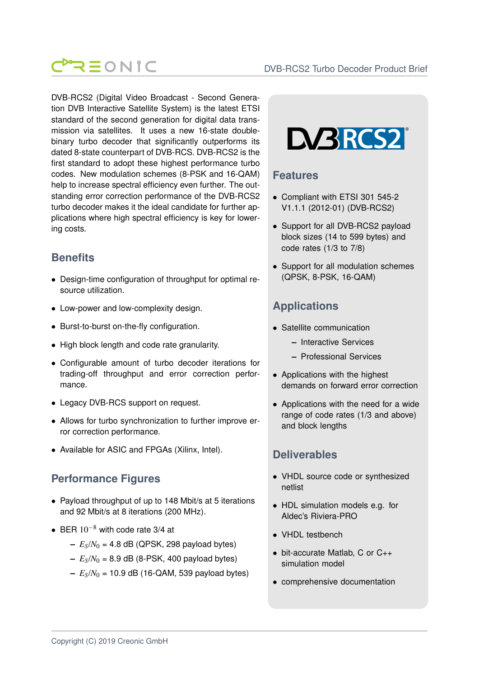

DVB-RCS2 (Digital Video Broadcast - Second Generation DVB Interactive Satellite System) is the latest ETSI standard of the second generation for digital data transmission via satellites. It uses a new 16-state doublebinary turbo decoder that significantly outperforms its dated 8-state counterpart of DVB-RCS. DVB-RCS2 is the first standard to adopt these highest performance turbo codes. New modulation schemes (8-PSK and 16-QAM) help to increase spectral efficiency even further. The outstanding error correction performance of the DVB-RCS2 turbo decoder makes it the ideal candidate for further applications where high spectral efficiency is key for lowering costs.

# **Benefits**

- Design-time configuration of throughput for optimal resource utilization.
- Low-power and low-complexity design.
- Burst-to-burst on-the-fly configuration.
- High block length and code rate granularity.
- Configurable amount of turbo decoder iterations for trading-off throughput and error correction performance.
- Legacy DVB-RCS support on request.
- Allows for turbo synchronization to further improve error correction performance.
- Available for ASIC and FPGAs (Xilinx, Intel).

## **Performance Figures**

- Payload throughput of up to 148 Mbit/s at 5 iterations and 92 Mbit/s at 8 iterations (200 MHz).
- BER  $10^{-8}$  with code rate 3/4 at
	- $-E_s/N_0 = 4.8$  dB (QPSK, 298 payload bytes)
	- $E_S/N_0 = 8.9$  dB (8-PSK, 400 payload bytes)
	- $E_S/N_0 = 10.9$  dB (16-QAM, 539 payload bytes)



#### **Features**

- Compliant with ETSI 301 545-2 V1.1.1 (2012-01) (DVB-RCS2)
- Support for all DVB-RCS2 payload block sizes (14 to 599 bytes) and code rates (1/3 to 7/8)
- Support for all modulation schemes (QPSK, 8-PSK, 16-QAM)

# **Applications**

- Satellite communication
	- **–** Interactive Services
	- **–** Professional Services
- Applications with the highest demands on forward error correction
- Applications with the need for a wide range of code rates (1/3 and above) and block lengths

### **Deliverables**

- VHDL source code or synthesized netlist
- HDL simulation models e.g. for Aldec's Riviera-PRO
- VHDL testbench
- bit-accurate Matlab, C or C++ simulation model
- comprehensive documentation